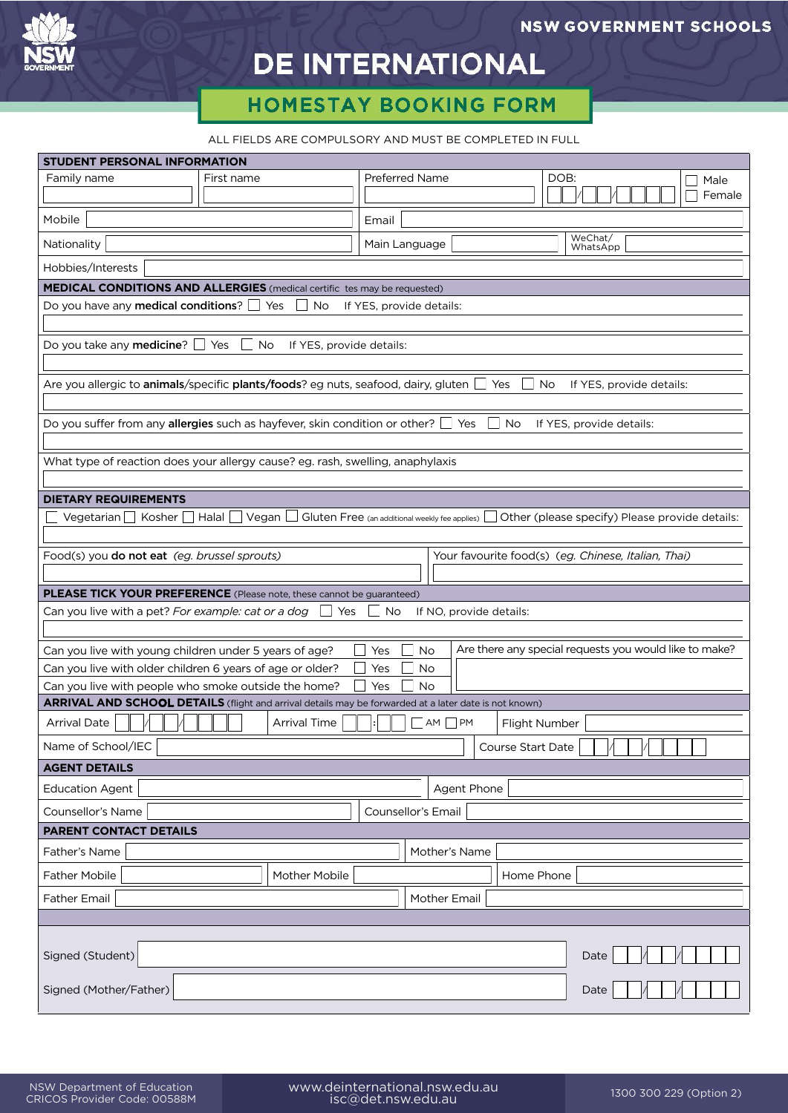

## **DE INTERNATIONAL**

## **HOMESTAY BOOKING FORM**

ALL FIELDS ARE COMPULSORY AND MUST BE COMPLETED IN FULL

| STUDENT PERSONAL INFORMATION                                                                                                                       |              |                       |                                               |        |
|----------------------------------------------------------------------------------------------------------------------------------------------------|--------------|-----------------------|-----------------------------------------------|--------|
| Family name                                                                                                                                        | First name   | <b>Preferred Name</b> | DOB:                                          | Male   |
|                                                                                                                                                    |              |                       |                                               | Female |
| Mobile                                                                                                                                             |              | Email                 |                                               |        |
| Nationality                                                                                                                                        |              | Main Language         | WeChat/<br>WhatsApp                           |        |
| Hobbies/Interests                                                                                                                                  |              |                       |                                               |        |
| <b>MEDICAL CONDITIONS AND ALLERGIES</b> (medical certific tes may be requested)                                                                    |              |                       |                                               |        |
| Do you have any medical conditions?<br>$\Box$ Yes<br>No<br>If YES, provide details:                                                                |              |                       |                                               |        |
| Do you take any <b>medicine</b> ? $\Box$ Yes<br>No<br>If YES, provide details:                                                                     |              |                       |                                               |        |
| Are you allergic to <b>animals</b> /specific <b>plants/foods</b> ? eg nuts, seafood, dairy, gluten $\Box$ Yes<br>No<br>If YES, provide details:    |              |                       |                                               |        |
|                                                                                                                                                    |              |                       |                                               |        |
| Do you suffer from any allergies such as hayfever, skin condition or other? $\Box$ Yes<br>$\blacksquare$ No<br>If YES, provide details:            |              |                       |                                               |        |
| What type of reaction does your allergy cause? eg. rash, swelling, anaphylaxis                                                                     |              |                       |                                               |        |
|                                                                                                                                                    |              |                       |                                               |        |
| <b>DIETARY REQUIREMENTS</b>                                                                                                                        |              |                       |                                               |        |
| Vegetarian Kosher<br>Vegan L<br>Halal  <br>$\Box$ Gluten Free (an additional weekly fee applies)<br>Other (please specify) Please provide details: |              |                       |                                               |        |
| Food(s) you do not eat (eg. brussel sprouts)<br>Your favourite food(s) (eg. Chinese, Italian, Thai)                                                |              |                       |                                               |        |
| <b>PLEASE TICK YOUR PREFERENCE</b> (Please note, these cannot be guaranteed)                                                                       |              |                       |                                               |        |
| Can you live with a pet? <i>For example: cat or a dog <math>\quad \Box</math></i><br>Yes<br>No<br>If NO, provide details:<br>$\mathbf{I}$          |              |                       |                                               |        |
|                                                                                                                                                    |              |                       |                                               |        |
| Are there any special requests you would like to make?<br><b>No</b><br>Can you live with young children under 5 years of age?<br>Yes               |              |                       |                                               |        |
| Can you live with older children 6 years of age or older?<br>No<br>Yes                                                                             |              |                       |                                               |        |
| Can you live with people who smoke outside the home?<br><b>No</b><br>Yes                                                                           |              |                       |                                               |        |
| ARRIVAL AND SCHOOL DETAILS (flight and arrival details may be forwarded at a later date is not known)                                              |              |                       |                                               |        |
| <b>Arrival Date</b>                                                                                                                                | Arrival Time | $\neg$ AM $\neg$ PM   | Flight Number                                 |        |
| Name of School/IEC                                                                                                                                 |              |                       | Course Start Date<br>$\Box$ / $\Box$ / $\Box$ |        |
| <b>AGENT DETAILS</b>                                                                                                                               |              |                       |                                               |        |
| Agent Phone<br><b>Education Agent</b>                                                                                                              |              |                       |                                               |        |
| Counsellor's Name<br>Counsellor's Email<br><b>PARENT CONTACT DETAILS</b>                                                                           |              |                       |                                               |        |
| Father's Name<br>Mother's Name                                                                                                                     |              |                       |                                               |        |
| Father Mobile<br>Mother Mobile<br>Home Phone                                                                                                       |              |                       |                                               |        |
| Father Email                                                                                                                                       |              |                       |                                               |        |
| Mother Email                                                                                                                                       |              |                       |                                               |        |
|                                                                                                                                                    |              |                       |                                               |        |
| Signed (Student)                                                                                                                                   |              |                       | Date                                          |        |
| Signed (Mother/Father)<br>Date                                                                                                                     |              |                       |                                               |        |